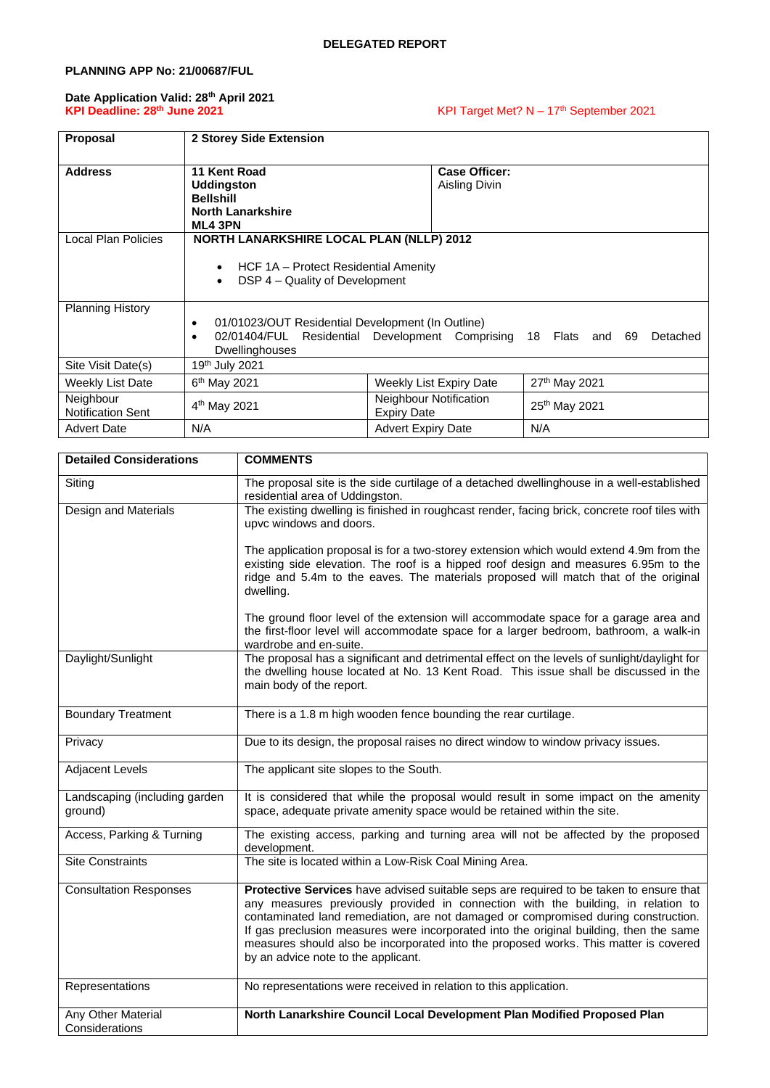## **PLANNING APP No: 21/00687/FUL**

#### **Date Application Valid: 28th April 2021 KPI Deadline: 28th June 2021** KPI Target Met? N – 17

# KPI Target Met? N - 17<sup>th</sup> September 2021

| <b>Proposal</b>                       | 2 Storey Side Extension                                                                             |                                                     |                                |
|---------------------------------------|-----------------------------------------------------------------------------------------------------|-----------------------------------------------------|--------------------------------|
| <b>Address</b>                        | 11 Kent Road<br><b>Uddingston</b><br><b>Bellshill</b><br><b>North Lanarkshire</b><br><b>ML4 3PN</b> | <b>Case Officer:</b><br>Aisling Divin               |                                |
| Local Plan Policies                   | <b>NORTH LANARKSHIRE LOCAL PLAN (NLLP) 2012</b>                                                     |                                                     |                                |
|                                       | HCF 1A - Protect Residential Amenity<br>$\bullet$<br>DSP 4 – Quality of Development<br>$\bullet$    |                                                     |                                |
| <b>Planning History</b>               |                                                                                                     |                                                     |                                |
|                                       | 01/01023/OUT Residential Development (In Outline)<br>$\bullet$<br>Dwellinghouses                    | 02/01404/FUL Residential Development Comprising     | 18 Flats<br>and 69<br>Detached |
| Site Visit Date(s)                    | 19 <sup>th</sup> July 2021                                                                          |                                                     |                                |
| Weekly List Date                      | 6 <sup>th</sup> May 2021                                                                            | Weekly List Expiry Date                             | 27th May 2021                  |
| Neighbour<br><b>Notification Sent</b> | 4 <sup>th</sup> May 2021                                                                            | <b>Neighbour Notification</b><br><b>Expiry Date</b> | 25 <sup>th</sup> May 2021      |
| <b>Advert Date</b>                    | N/A                                                                                                 | <b>Advert Expiry Date</b>                           | N/A                            |

| <b>Detailed Considerations</b>           | <b>COMMENTS</b>                                                                                                                                                                                                                                                                                                                                                                                                                                                                           |
|------------------------------------------|-------------------------------------------------------------------------------------------------------------------------------------------------------------------------------------------------------------------------------------------------------------------------------------------------------------------------------------------------------------------------------------------------------------------------------------------------------------------------------------------|
| Siting                                   | The proposal site is the side curtilage of a detached dwellinghouse in a well-established<br>residential area of Uddingston.                                                                                                                                                                                                                                                                                                                                                              |
| Design and Materials                     | The existing dwelling is finished in roughcast render, facing brick, concrete roof tiles with<br>upvc windows and doors.                                                                                                                                                                                                                                                                                                                                                                  |
|                                          | The application proposal is for a two-storey extension which would extend 4.9m from the<br>existing side elevation. The roof is a hipped roof design and measures 6.95m to the<br>ridge and 5.4m to the eaves. The materials proposed will match that of the original<br>dwelling.                                                                                                                                                                                                        |
|                                          | The ground floor level of the extension will accommodate space for a garage area and<br>the first-floor level will accommodate space for a larger bedroom, bathroom, a walk-in<br>wardrobe and en-suite.                                                                                                                                                                                                                                                                                  |
| Daylight/Sunlight                        | The proposal has a significant and detrimental effect on the levels of sunlight/daylight for<br>the dwelling house located at No. 13 Kent Road. This issue shall be discussed in the<br>main body of the report.                                                                                                                                                                                                                                                                          |
| <b>Boundary Treatment</b>                | There is a 1.8 m high wooden fence bounding the rear curtilage.                                                                                                                                                                                                                                                                                                                                                                                                                           |
| Privacy                                  | Due to its design, the proposal raises no direct window to window privacy issues.                                                                                                                                                                                                                                                                                                                                                                                                         |
| <b>Adjacent Levels</b>                   | The applicant site slopes to the South.                                                                                                                                                                                                                                                                                                                                                                                                                                                   |
| Landscaping (including garden<br>ground) | It is considered that while the proposal would result in some impact on the amenity<br>space, adequate private amenity space would be retained within the site.                                                                                                                                                                                                                                                                                                                           |
| Access, Parking & Turning                | The existing access, parking and turning area will not be affected by the proposed<br>development.                                                                                                                                                                                                                                                                                                                                                                                        |
| <b>Site Constraints</b>                  | The site is located within a Low-Risk Coal Mining Area.                                                                                                                                                                                                                                                                                                                                                                                                                                   |
| <b>Consultation Responses</b>            | Protective Services have advised suitable seps are required to be taken to ensure that<br>any measures previously provided in connection with the building, in relation to<br>contaminated land remediation, are not damaged or compromised during construction.<br>If gas preclusion measures were incorporated into the original building, then the same<br>measures should also be incorporated into the proposed works. This matter is covered<br>by an advice note to the applicant. |
| Representations                          | No representations were received in relation to this application.                                                                                                                                                                                                                                                                                                                                                                                                                         |
| Any Other Material<br>Considerations     | North Lanarkshire Council Local Development Plan Modified Proposed Plan                                                                                                                                                                                                                                                                                                                                                                                                                   |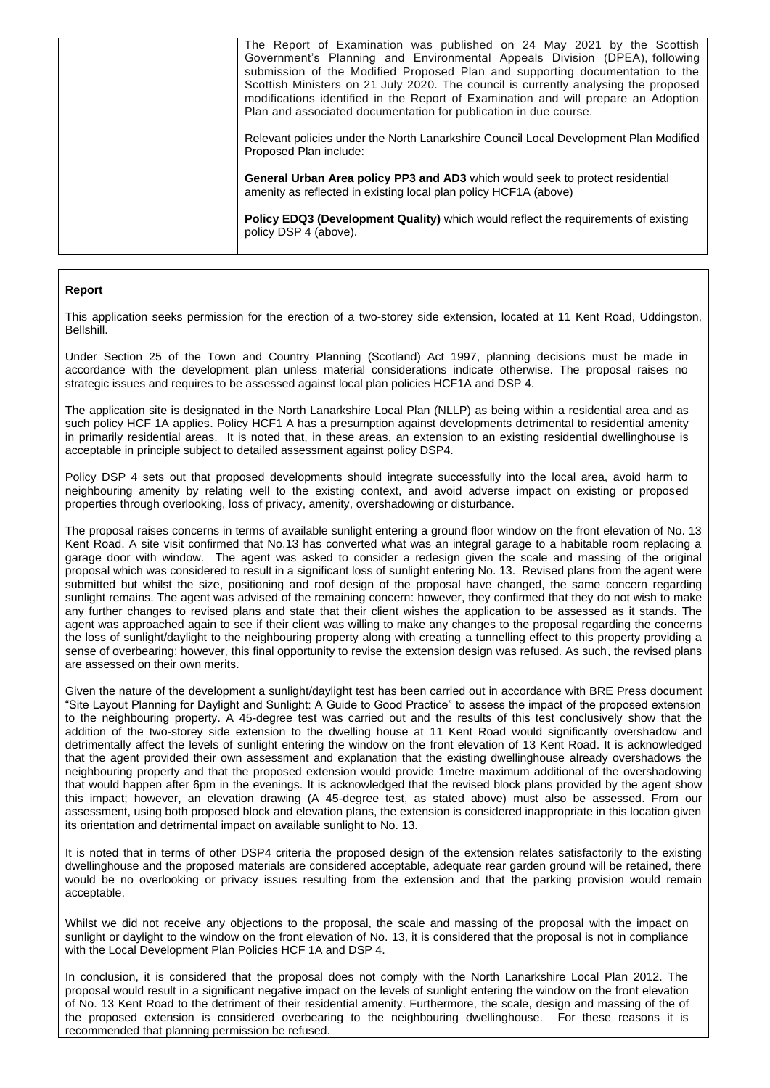| General Urban Area policy PP3 and AD3 which would seek to protect residential<br>amenity as reflected in existing local plan policy HCF1A (above)<br><b>Policy EDQ3 (Development Quality)</b> which would reflect the requirements of existing                                                                                                                                                                                                                                        |
|---------------------------------------------------------------------------------------------------------------------------------------------------------------------------------------------------------------------------------------------------------------------------------------------------------------------------------------------------------------------------------------------------------------------------------------------------------------------------------------|
| Relevant policies under the North Lanarkshire Council Local Development Plan Modified<br>Proposed Plan include:                                                                                                                                                                                                                                                                                                                                                                       |
| The Report of Examination was published on 24 May 2021 by the Scottish<br>Government's Planning and Environmental Appeals Division (DPEA), following<br>submission of the Modified Proposed Plan and supporting documentation to the<br>Scottish Ministers on 21 July 2020. The council is currently analysing the proposed<br>modifications identified in the Report of Examination and will prepare an Adoption<br>Plan and associated documentation for publication in due course. |

### **Report**

This application seeks permission for the erection of a two-storey side extension, located at 11 Kent Road, Uddingston, Bellshill.

Under Section 25 of the Town and Country Planning (Scotland) Act 1997, planning decisions must be made in accordance with the development plan unless material considerations indicate otherwise. The proposal raises no strategic issues and requires to be assessed against local plan policies HCF1A and DSP 4.

The application site is designated in the North Lanarkshire Local Plan (NLLP) as being within a residential area and as such policy HCF 1A applies. Policy HCF1 A has a presumption against developments detrimental to residential amenity in primarily residential areas. It is noted that, in these areas, an extension to an existing residential dwellinghouse is acceptable in principle subject to detailed assessment against policy DSP4.

Policy DSP 4 sets out that proposed developments should integrate successfully into the local area, avoid harm to neighbouring amenity by relating well to the existing context, and avoid adverse impact on existing or proposed properties through overlooking, loss of privacy, amenity, overshadowing or disturbance.

The proposal raises concerns in terms of available sunlight entering a ground floor window on the front elevation of No. 13 Kent Road. A site visit confirmed that No.13 has converted what was an integral garage to a habitable room replacing a garage door with window. The agent was asked to consider a redesign given the scale and massing of the original proposal which was considered to result in a significant loss of sunlight entering No. 13. Revised plans from the agent were submitted but whilst the size, positioning and roof design of the proposal have changed, the same concern regarding sunlight remains. The agent was advised of the remaining concern: however, they confirmed that they do not wish to make any further changes to revised plans and state that their client wishes the application to be assessed as it stands. The agent was approached again to see if their client was willing to make any changes to the proposal regarding the concerns the loss of sunlight/daylight to the neighbouring property along with creating a tunnelling effect to this property providing a sense of overbearing; however, this final opportunity to revise the extension design was refused. As such, the revised plans are assessed on their own merits.

Given the nature of the development a sunlight/daylight test has been carried out in accordance with BRE Press document "Site Layout Planning for Daylight and Sunlight: A Guide to Good Practice" to assess the impact of the proposed extension to the neighbouring property. A 45-degree test was carried out and the results of this test conclusively show that the addition of the two-storey side extension to the dwelling house at 11 Kent Road would significantly overshadow and detrimentally affect the levels of sunlight entering the window on the front elevation of 13 Kent Road. It is acknowledged that the agent provided their own assessment and explanation that the existing dwellinghouse already overshadows the neighbouring property and that the proposed extension would provide 1metre maximum additional of the overshadowing that would happen after 6pm in the evenings. It is acknowledged that the revised block plans provided by the agent show this impact; however, an elevation drawing (A 45-degree test, as stated above) must also be assessed. From our assessment, using both proposed block and elevation plans, the extension is considered inappropriate in this location given its orientation and detrimental impact on available sunlight to No. 13.

It is noted that in terms of other DSP4 criteria the proposed design of the extension relates satisfactorily to the existing dwellinghouse and the proposed materials are considered acceptable, adequate rear garden ground will be retained, there would be no overlooking or privacy issues resulting from the extension and that the parking provision would remain acceptable.

Whilst we did not receive any objections to the proposal, the scale and massing of the proposal with the impact on sunlight or daylight to the window on the front elevation of No. 13, it is considered that the proposal is not in compliance with the Local Development Plan Policies HCF 1A and DSP 4.

In conclusion, it is considered that the proposal does not comply with the North Lanarkshire Local Plan 2012. The proposal would result in a significant negative impact on the levels of sunlight entering the window on the front elevation of No. 13 Kent Road to the detriment of their residential amenity. Furthermore, the scale, design and massing of the of the proposed extension is considered overbearing to the neighbouring dwellinghouse. For these reasons it is recommended that planning permission be refused.